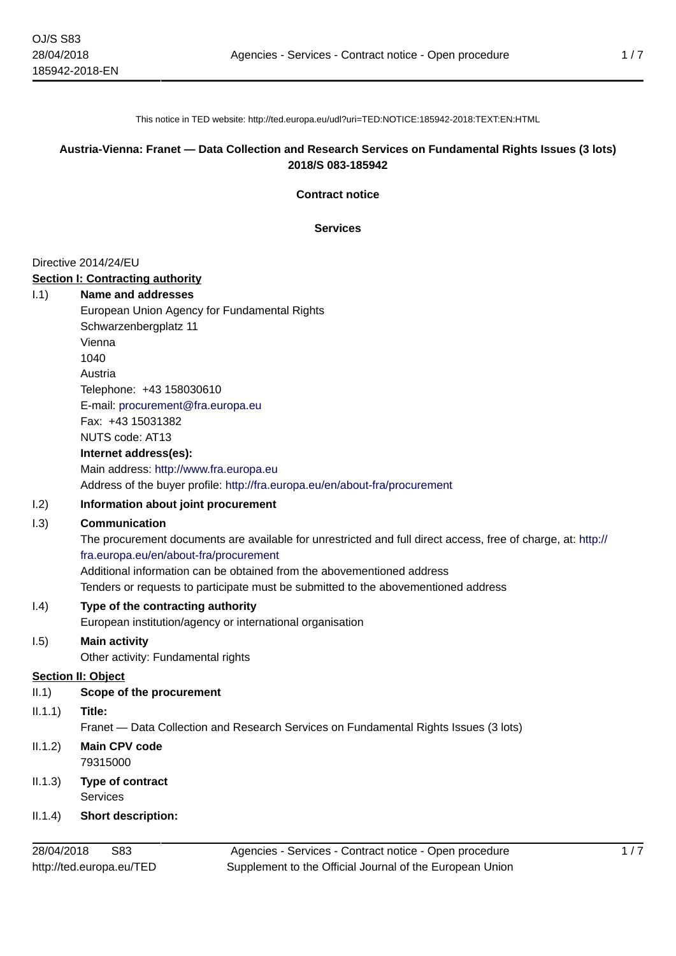This notice in TED website: http://ted.europa.eu/udl?uri=TED:NOTICE:185942-2018:TEXT:EN:HTML

# **Austria-Vienna: Franet — Data Collection and Research Services on Fundamental Rights Issues (3 lots) 2018/S 083-185942**

**Contract notice**

**Services**

### Directive 2014/24/EU

### **Section I: Contracting authority**

| 1.1) | Name and addresses                                                          |
|------|-----------------------------------------------------------------------------|
|      | European Union Agency for Fundamental Rights                                |
|      | Schwarzenbergplatz 11                                                       |
|      | Vienna                                                                      |
|      | 1040                                                                        |
|      | Austria                                                                     |
|      | Telephone: +43 158030610                                                    |
|      | E-mail: procurement@fra.europa.eu                                           |
|      | Fax: +43 15031382                                                           |
|      | NUTS code: AT13                                                             |
|      | Internet address(es):                                                       |
|      | Main address: http://www.fra.europa.eu                                      |
|      | Address of the buyer profile: http://fra.europa.eu/en/about-fra/procurement |
|      |                                                                             |

# I.2) **Information about joint procurement**

### I.3) **Communication**

The procurement documents are available for unrestricted and full direct access, free of charge, at: [http://](http://fra.europa.eu/en/about-fra/procurement) [fra.europa.eu/en/about-fra/procurement](http://fra.europa.eu/en/about-fra/procurement)

Additional information can be obtained from the abovementioned address Tenders or requests to participate must be submitted to the abovementioned address

# I.4) **Type of the contracting authority**

European institution/agency or international organisation

# I.5) **Main activity**

Other activity: Fundamental rights

# **Section II: Object**

### II.1) **Scope of the procurement**

II.1.1) **Title:**

Franet — Data Collection and Research Services on Fundamental Rights Issues (3 lots)

- II.1.2) **Main CPV code** 79315000
- II.1.3) **Type of contract Services**
- II.1.4) **Short description:**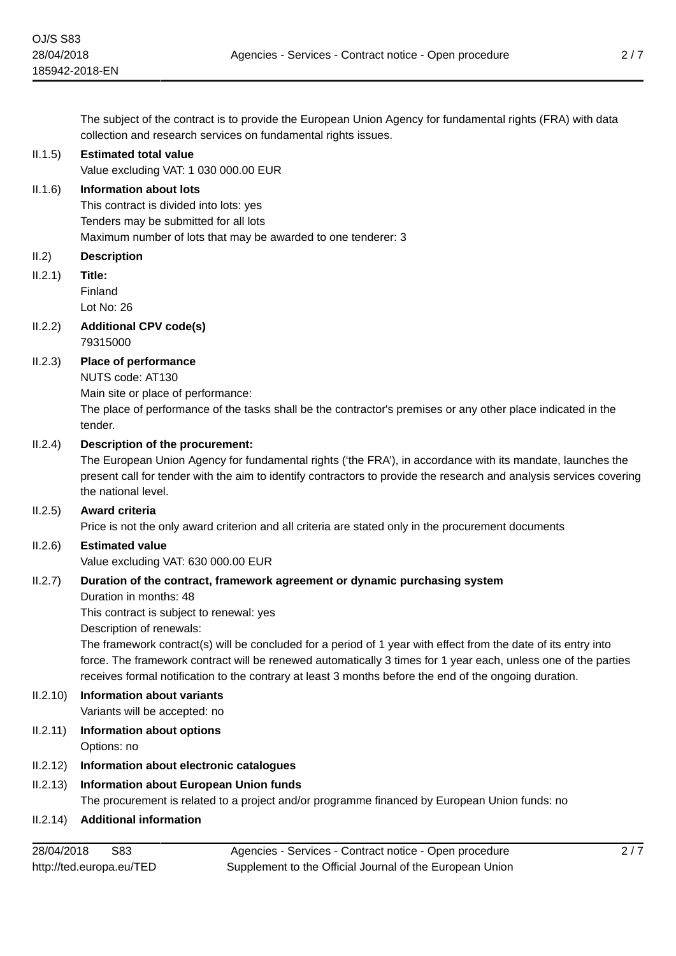The subject of the contract is to provide the European Union Agency for fundamental rights (FRA) with data collection and research services on fundamental rights issues.

### II.1.5) **Estimated total value**

Value excluding VAT: 1 030 000.00 EUR

### II.1.6) **Information about lots**

This contract is divided into lots: yes Tenders may be submitted for all lots Maximum number of lots that may be awarded to one tenderer: 3

### II.2) **Description**

II.2.1) **Title:**

Finland

Lot No: 26

II.2.2) **Additional CPV code(s)** 79315000

### II.2.3) **Place of performance**

NUTS code: AT130

Main site or place of performance:

The place of performance of the tasks shall be the contractor's premises or any other place indicated in the tender.

### II.2.4) **Description of the procurement:**

The European Union Agency for fundamental rights ('the FRA'), in accordance with its mandate, launches the present call for tender with the aim to identify contractors to provide the research and analysis services covering the national level.

### II.2.5) **Award criteria**

Price is not the only award criterion and all criteria are stated only in the procurement documents

### II.2.6) **Estimated value**

Value excluding VAT: 630 000.00 EUR

### II.2.7) **Duration of the contract, framework agreement or dynamic purchasing system**

Duration in months: 48

This contract is subject to renewal: yes

Description of renewals:

The framework contract(s) will be concluded for a period of 1 year with effect from the date of its entry into force. The framework contract will be renewed automatically 3 times for 1 year each, unless one of the parties receives formal notification to the contrary at least 3 months before the end of the ongoing duration.

# II.2.10) **Information about variants**

Variants will be accepted: no

II.2.11) **Information about options** Options: no

### II.2.12) **Information about electronic catalogues**

### II.2.13) **Information about European Union funds**

The procurement is related to a project and/or programme financed by European Union funds: no

### II.2.14) **Additional information**

Agencies - Services - Contract notice - Open procedure Supplement to the Official Journal of the European Union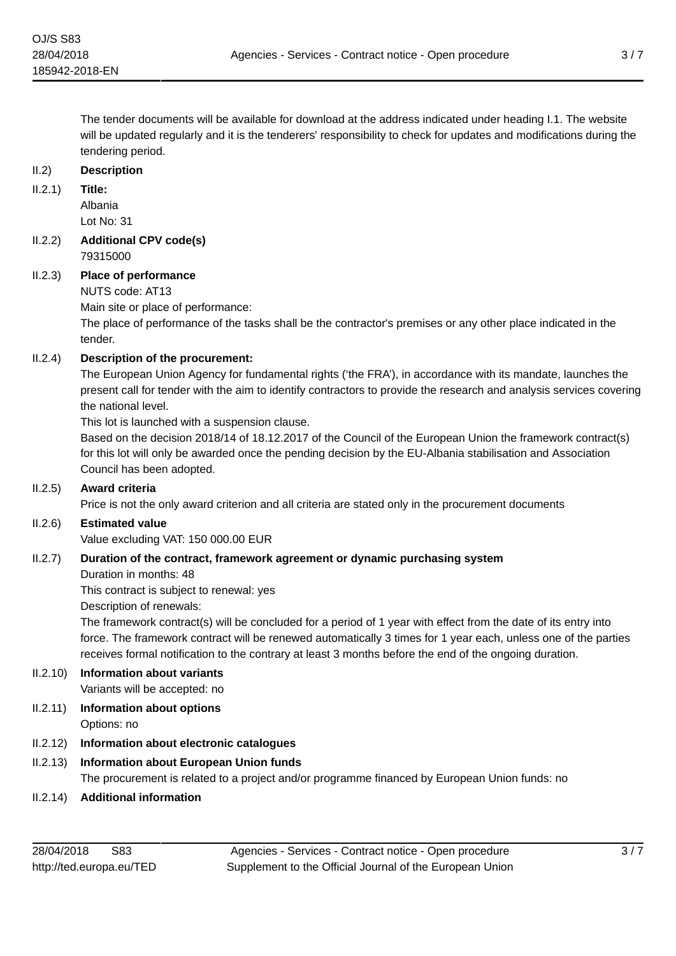### II.2) **Description**

II.2.1) **Title:**

Albania Lot No: 31

### II.2.2) **Additional CPV code(s)** 79315000

### II.2.3) **Place of performance**

NUTS code: AT13

Main site or place of performance:

The place of performance of the tasks shall be the contractor's premises or any other place indicated in the tender.

# II.2.4) **Description of the procurement:**

The European Union Agency for fundamental rights ('the FRA'), in accordance with its mandate, launches the present call for tender with the aim to identify contractors to provide the research and analysis services covering the national level.

This lot is launched with a suspension clause.

Based on the decision 2018/14 of 18.12.2017 of the Council of the European Union the framework contract(s) for this lot will only be awarded once the pending decision by the EU-Albania stabilisation and Association Council has been adopted.

### II.2.5) **Award criteria**

Price is not the only award criterion and all criteria are stated only in the procurement documents

### II.2.6) **Estimated value**

Value excluding VAT: 150 000.00 EUR

### II.2.7) **Duration of the contract, framework agreement or dynamic purchasing system**

### Duration in months: 48

This contract is subject to renewal: yes

Description of renewals:

The framework contract(s) will be concluded for a period of 1 year with effect from the date of its entry into force. The framework contract will be renewed automatically 3 times for 1 year each, unless one of the parties receives formal notification to the contrary at least 3 months before the end of the ongoing duration.

# II.2.10) **Information about variants**

Variants will be accepted: no

II.2.11) **Information about options** Options: no

# II.2.12) **Information about electronic catalogues**

# II.2.13) **Information about European Union funds**

The procurement is related to a project and/or programme financed by European Union funds: no

II.2.14) **Additional information**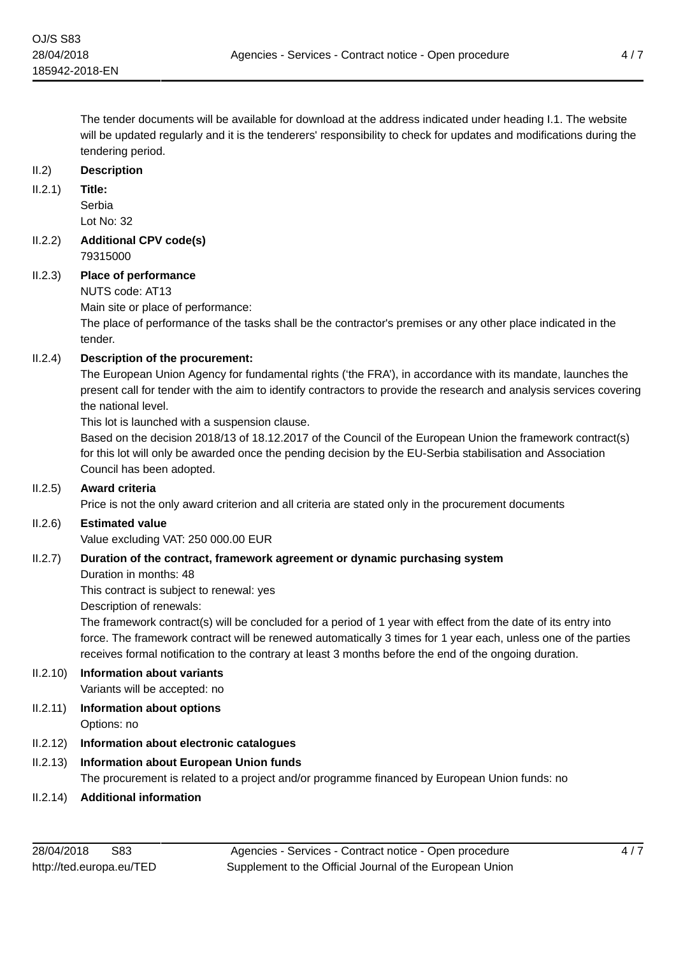The tender documents will be available for download at the address indicated under heading I.1. The website will be updated regularly and it is the tenderers' responsibility to check for updates and modifications during the tendering period.

### II.2) **Description**

II.2.1) **Title:**

Serbia Lot No: 32

### II.2.2) **Additional CPV code(s)** 79315000

# II.2.3) **Place of performance**

### NUTS code: AT13

Main site or place of performance:

The place of performance of the tasks shall be the contractor's premises or any other place indicated in the tender.

# II.2.4) **Description of the procurement:**

The European Union Agency for fundamental rights ('the FRA'), in accordance with its mandate, launches the present call for tender with the aim to identify contractors to provide the research and analysis services covering the national level.

This lot is launched with a suspension clause.

Based on the decision 2018/13 of 18.12.2017 of the Council of the European Union the framework contract(s) for this lot will only be awarded once the pending decision by the EU-Serbia stabilisation and Association Council has been adopted.

# II.2.5) **Award criteria**

Price is not the only award criterion and all criteria are stated only in the procurement documents

### II.2.6) **Estimated value**

Value excluding VAT: 250 000.00 EUR

# II.2.7) **Duration of the contract, framework agreement or dynamic purchasing system**

### Duration in months: 48

This contract is subject to renewal: yes

Description of renewals:

The framework contract(s) will be concluded for a period of 1 year with effect from the date of its entry into force. The framework contract will be renewed automatically 3 times for 1 year each, unless one of the parties receives formal notification to the contrary at least 3 months before the end of the ongoing duration.

# II.2.10) **Information about variants**

Variants will be accepted: no

II.2.11) **Information about options** Options: no

# II.2.12) **Information about electronic catalogues**

# II.2.13) **Information about European Union funds**

The procurement is related to a project and/or programme financed by European Union funds: no

II.2.14) **Additional information**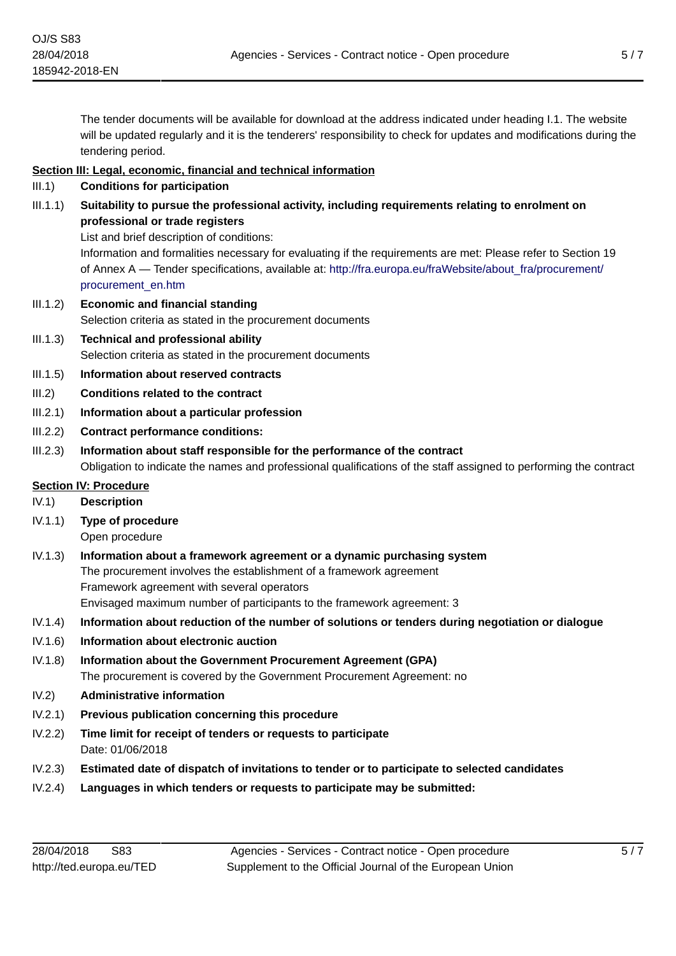The tender documents will be available for download at the address indicated under heading I.1. The website will be updated regularly and it is the tenderers' responsibility to check for updates and modifications during the tendering period.

### **Section III: Legal, economic, financial and technical information**

- III.1) **Conditions for participation**
- III.1.1) **Suitability to pursue the professional activity, including requirements relating to enrolment on professional or trade registers**
	- List and brief description of conditions:

Information and formalities necessary for evaluating if the requirements are met: Please refer to Section 19 of Annex A — Tender specifications, available at: http://fra.europa.eu/fraWebsite/about fra/procurement/ [procurement\\_en.htm](http://fra.europa.eu/fraWebsite/about_fra/procurement/procurement_en.htm)

- III.1.2) **Economic and financial standing** Selection criteria as stated in the procurement documents
- III.1.3) **Technical and professional ability** Selection criteria as stated in the procurement documents
- III.1.5) **Information about reserved contracts**
- III.2) **Conditions related to the contract**
- III.2.1) **Information about a particular profession**
- III.2.2) **Contract performance conditions:**
- III.2.3) **Information about staff responsible for the performance of the contract** Obligation to indicate the names and professional qualifications of the staff assigned to performing the contract

### **Section IV: Procedure**

- IV.1) **Description**
- IV.1.1) **Type of procedure**
	- Open procedure
- IV.1.3) **Information about a framework agreement or a dynamic purchasing system** The procurement involves the establishment of a framework agreement Framework agreement with several operators Envisaged maximum number of participants to the framework agreement: 3
- IV.1.4) **Information about reduction of the number of solutions or tenders during negotiation or dialogue**
- IV.1.6) **Information about electronic auction**
- IV.1.8) **Information about the Government Procurement Agreement (GPA)** The procurement is covered by the Government Procurement Agreement: no
- IV.2) **Administrative information**
- IV.2.1) **Previous publication concerning this procedure**
- IV.2.2) **Time limit for receipt of tenders or requests to participate** Date: 01/06/2018
- IV.2.3) **Estimated date of dispatch of invitations to tender or to participate to selected candidates**
- IV.2.4) **Languages in which tenders or requests to participate may be submitted:**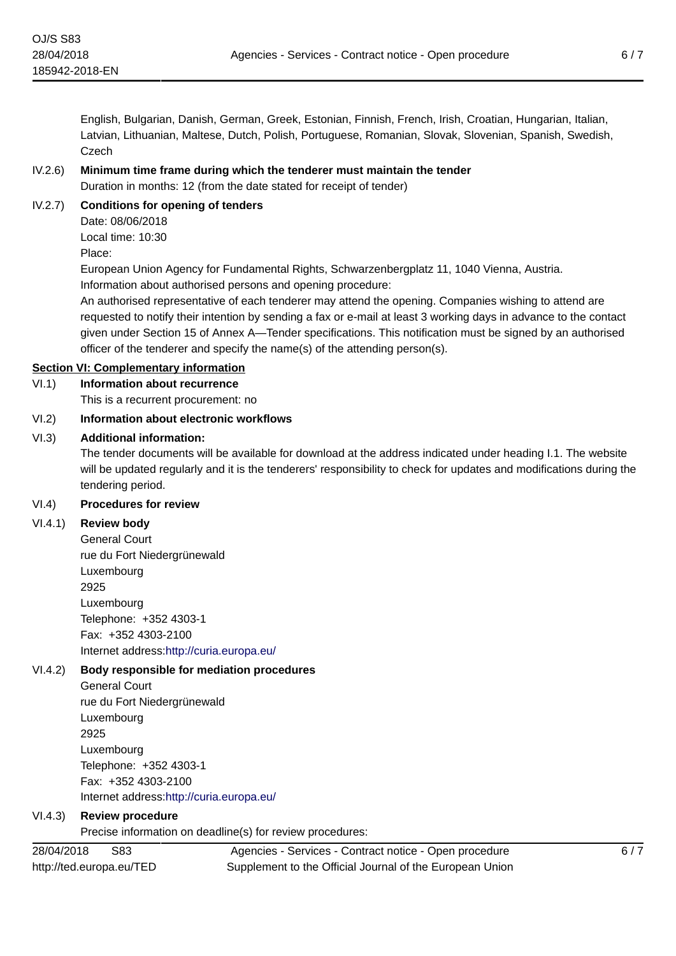English, Bulgarian, Danish, German, Greek, Estonian, Finnish, French, Irish, Croatian, Hungarian, Italian, Latvian, Lithuanian, Maltese, Dutch, Polish, Portuguese, Romanian, Slovak, Slovenian, Spanish, Swedish, Czech

# IV.2.6) **Minimum time frame during which the tenderer must maintain the tender**

Duration in months: 12 (from the date stated for receipt of tender)

# IV.2.7) **Conditions for opening of tenders**

Date: 08/06/2018 Local time: 10:30 Place:

European Union Agency for Fundamental Rights, Schwarzenbergplatz 11, 1040 Vienna, Austria. Information about authorised persons and opening procedure:

An authorised representative of each tenderer may attend the opening. Companies wishing to attend are requested to notify their intention by sending a fax or e-mail at least 3 working days in advance to the contact given under Section 15 of Annex A—Tender specifications. This notification must be signed by an authorised officer of the tenderer and specify the name(s) of the attending person(s).

# **Section VI: Complementary information**

# VI.1) **Information about recurrence**

This is a recurrent procurement: no

# VI.2) **Information about electronic workflows**

# VI.3) **Additional information:**

The tender documents will be available for download at the address indicated under heading I.1. The website will be updated regularly and it is the tenderers' responsibility to check for updates and modifications during the tendering period.

### VI.4) **Procedures for review**

# VI.4.1) **Review body**

General Court rue du Fort Niedergrünewald Luxembourg 2925 Luxembourg Telephone: +352 4303-1 Fax: +352 4303-2100 Internet address:<http://curia.europa.eu/>

# VI.4.2) **Body responsible for mediation procedures**

General Court rue du Fort Niedergrünewald Luxembourg 2925 Luxembourg Telephone: +352 4303-1 Fax: +352 4303-2100 Internet address:<http://curia.europa.eu/>

# VI.4.3) **Review procedure**

Precise information on deadline(s) for review procedures:

28/04/2018 S83 http://ted.europa.eu/TED

Agencies - Services - Contract notice - Open procedure Supplement to the Official Journal of the European Union